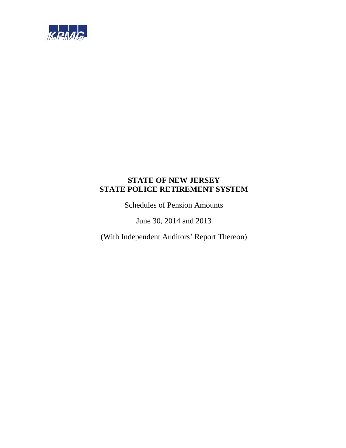

Schedules of Pension Amounts

June 30, 2014 and 2013

(With Independent Auditors' Report Thereon)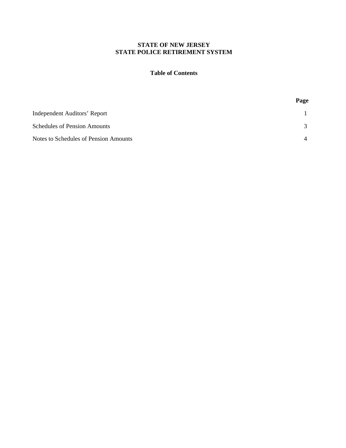## **Table of Contents**

|                                       | Page           |
|---------------------------------------|----------------|
| Independent Auditors' Report          |                |
| <b>Schedules of Pension Amounts</b>   | 3              |
| Notes to Schedules of Pension Amounts | $\overline{4}$ |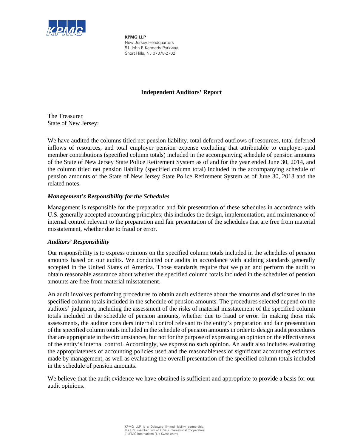

**KPMG LLP** New Jersey Headquarters 51 John F. Kennedy Parkway Short Hills, NJ 07078-2702

## **Independent Auditors' Report**

The Treasurer State of New Jersey:

We have audited the columns titled net pension liability, total deferred outflows of resources, total deferred inflows of resources, and total employer pension expense excluding that attributable to employer-paid member contributions (specified column totals) included in the accompanying schedule of pension amounts of the State of New Jersey State Police Retirement System as of and for the year ended June 30, 2014, and the column titled net pension liability (specified column total) included in the accompanying schedule of pension amounts of the State of New Jersey State Police Retirement System as of June 30, 2013 and the related notes.

## *Management's Responsibility for the Schedules*

Management is responsible for the preparation and fair presentation of these schedules in accordance with U.S. generally accepted accounting principles; this includes the design, implementation, and maintenance of internal control relevant to the preparation and fair presentation of the schedules that are free from material misstatement, whether due to fraud or error.

## *Auditors' Responsibility*

Our responsibility is to express opinions on the specified column totals included in the schedules of pension amounts based on our audits. We conducted our audits in accordance with auditing standards generally accepted in the United States of America. Those standards require that we plan and perform the audit to obtain reasonable assurance about whether the specified column totals included in the schedules of pension amounts are free from material misstatement.

An audit involves performing procedures to obtain audit evidence about the amounts and disclosures in the specified column totals included in the schedule of pension amounts. The procedures selected depend on the auditors' judgment, including the assessment of the risks of material misstatement of the specified column totals included in the schedule of pension amounts, whether due to fraud or error. In making those risk assessments, the auditor considers internal control relevant to the entity's preparation and fair presentation of the specified column totals included in the schedule of pension amounts in order to design audit procedures that are appropriate in the circumstances, but not for the purpose of expressing an opinion on the effectiveness of the entity's internal control. Accordingly, we express no such opinion. An audit also includes evaluating the appropriateness of accounting policies used and the reasonableness of significant accounting estimates made by management, as well as evaluating the overall presentation of the specified column totals included in the schedule of pension amounts.

We believe that the audit evidence we have obtained is sufficient and appropriate to provide a basis for our audit opinions.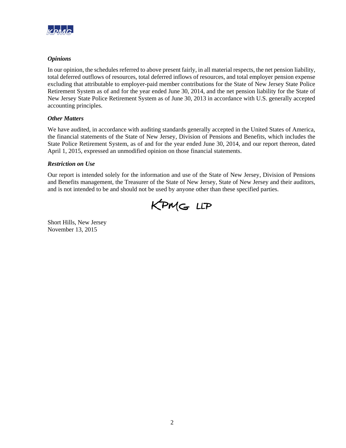

## *Opinions*

In our opinion, the schedules referred to above present fairly, in all material respects, the net pension liability, total deferred outflows of resources, total deferred inflows of resources, and total employer pension expense excluding that attributable to employer-paid member contributions for the State of New Jersey State Police Retirement System as of and for the year ended June 30, 2014, and the net pension liability for the State of New Jersey State Police Retirement System as of June 30, 2013 in accordance with U.S. generally accepted accounting principles.

## *Other Matters*

We have audited, in accordance with auditing standards generally accepted in the United States of America, the financial statements of the State of New Jersey, Division of Pensions and Benefits, which includes the State Police Retirement System, as of and for the year ended June 30, 2014, and our report thereon, dated April 1, 2015, expressed an unmodified opinion on those financial statements.

## *Restriction on Use*

Our report is intended solely for the information and use of the State of New Jersey, Division of Pensions and Benefits management, the Treasurer of the State of New Jersey, State of New Jersey and their auditors, and is not intended to be and should not be used by anyone other than these specified parties.



Short Hills, New Jersey November 13, 2015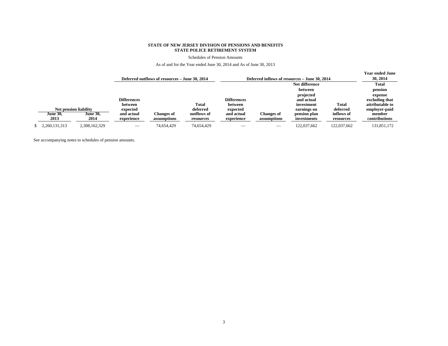#### **STATE OF NEW JERSEY DIVISION OF PENSIONS AND BENEFITS STATE POLICE RETIREMENT SYSTEM**

#### Schedules of Pension Amounts

#### As of and for the Year ended June 30, 2014 and As of June 30, 2013

|                       |                 |                    | Deferred outflows of resources - June 30, 2014 |              |                    |                   | Deferred inflows of resources – June 30, 2014 |             | <b>Year ended June</b><br>30, 2014 |
|-----------------------|-----------------|--------------------|------------------------------------------------|--------------|--------------------|-------------------|-----------------------------------------------|-------------|------------------------------------|
|                       |                 |                    |                                                |              |                    |                   | Net difference                                |             | <b>Total</b>                       |
|                       |                 |                    |                                                |              |                    |                   | between                                       |             | pension                            |
|                       |                 |                    |                                                |              |                    |                   | projected                                     |             | expense                            |
|                       |                 | <b>Differences</b> |                                                |              | <b>Differences</b> |                   | and actual                                    |             | excluding that                     |
|                       |                 | between            |                                                | <b>Total</b> | between            |                   | investment                                    | Total       | attributable to                    |
| Net pension liability |                 | expected           |                                                | deferred     | expected           |                   | earnings on                                   | deferred    | employer-paid                      |
| <b>June 30,</b>       | <b>June 30,</b> | and actual         | <b>Changes of</b>                              | outflows of  | and actual         | <b>Changes of</b> | pension plan                                  | inflows of  | member                             |
| 2013                  | 2014            | experience         | assumptions                                    | resources    | experience         | assumptions       | investments                                   | resources   | contributions                      |
| 2,260,131,313         | 2,308,162,329   |                    | 74,654,429                                     | 74.654.429   | $\sim$             |                   | 122,037,662                                   | 122,037,662 | 131,851,172                        |

See accompanying notes to schedules of pension amounts.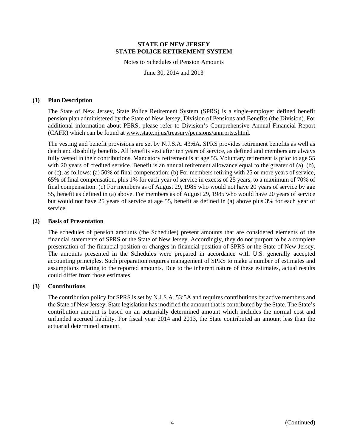Notes to Schedules of Pension Amounts

June 30, 2014 and 2013

#### **(1) Plan Description**

The State of New Jersey, State Police Retirement System (SPRS) is a single-employer defined benefit pension plan administered by the State of New Jersey, Division of Pensions and Benefits (the Division). For additional information about PERS, please refer to Division's Comprehensive Annual Financial Report (CAFR) which can be found at www.state.nj.us/treasury/pensions/annrprts.shtml.

The vesting and benefit provisions are set by N.J.S.A. 43:6A. SPRS provides retirement benefits as well as death and disability benefits. All benefits vest after ten years of service, as defined and members are always fully vested in their contributions. Mandatory retirement is at age 55. Voluntary retirement is prior to age 55 with 20 years of credited service. Benefit is an annual retirement allowance equal to the greater of (a), (b), or (c), as follows: (a) 50% of final compensation; (b) For members retiring with 25 or more years of service, 65% of final compensation, plus 1% for each year of service in excess of 25 years, to a maximum of 70% of final compensation. (c) For members as of August 29, 1985 who would not have 20 years of service by age 55, benefit as defined in (a) above. For members as of August 29, 1985 who would have 20 years of service but would not have 25 years of service at age 55, benefit as defined in (a) above plus 3% for each year of service.

#### **(2) Basis of Presentation**

The schedules of pension amounts (the Schedules) present amounts that are considered elements of the financial statements of SPRS or the State of New Jersey. Accordingly, they do not purport to be a complete presentation of the financial position or changes in financial position of SPRS or the State of New Jersey. The amounts presented in the Schedules were prepared in accordance with U.S. generally accepted accounting principles. Such preparation requires management of SPRS to make a number of estimates and assumptions relating to the reported amounts. Due to the inherent nature of these estimates, actual results could differ from those estimates.

#### **(3) Contributions**

The contribution policy for SPRS is set by N.J.S.A. 53:5A and requires contributions by active members and the State of New Jersey. State legislation has modified the amount that is contributed by the State. The State's contribution amount is based on an actuarially determined amount which includes the normal cost and unfunded accrued liability. For fiscal year 2014 and 2013, the State contributed an amount less than the actuarial determined amount.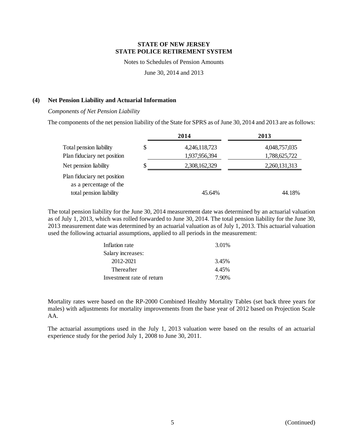Notes to Schedules of Pension Amounts

June 30, 2014 and 2013

### **(4) Net Pension Liability and Actuarial Information**

#### *Components of Net Pension Liability*

The components of the net pension liability of the State for SPRS as of June 30, 2014 and 2013 are as follows:

|                                                       |   | 2014          | 2013          |
|-------------------------------------------------------|---|---------------|---------------|
| Total pension liability                               | S | 4,246,118,723 | 4,048,757,035 |
| Plan fiduciary net position                           |   | 1,937,956,394 | 1,788,625,722 |
| Net pension liability                                 | S | 2,308,162,329 | 2,260,131,313 |
| Plan fiduciary net position<br>as a percentage of the |   |               |               |
| total pension liability                               |   | 45.64%        | 44.18%        |

The total pension liability for the June 30, 2014 measurement date was determined by an actuarial valuation as of July 1, 2013, which was rolled forwarded to June 30, 2014. The total pension liability for the June 30, 2013 measurement date was determined by an actuarial valuation as of July 1, 2013. This actuarial valuation used the following actuarial assumptions, applied to all periods in the measurement:

| Inflation rate            | 3.01% |
|---------------------------|-------|
| Salary increases:         |       |
| 2012-2021                 | 3.45% |
| Thereafter                | 4.45% |
| Investment rate of return | 7.90% |

Mortality rates were based on the RP-2000 Combined Healthy Mortality Tables (set back three years for males) with adjustments for mortality improvements from the base year of 2012 based on Projection Scale AA.

The actuarial assumptions used in the July 1, 2013 valuation were based on the results of an actuarial experience study for the period July 1, 2008 to June 30, 2011.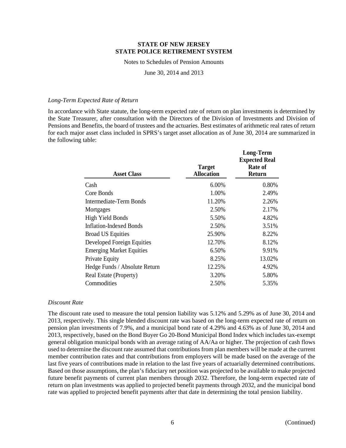Notes to Schedules of Pension Amounts

June 30, 2014 and 2013

#### *Long-Term Expected Rate of Return*

In accordance with State statute, the long-term expected rate of return on plan investments is determined by the State Treasurer, after consultation with the Directors of the Division of Investments and Division of Pensions and Benefits, the board of trustees and the actuaries. Best estimates of arithmetic real rates of return for each major asset class included in SPRS's target asset allocation as of June 30, 2014 are summarized in the following table:

**Long-Term**

| <b>Asset Class</b>              | <b>Target</b><br><b>Allocation</b> | LUILE-TELIII<br><b>Expected Real</b><br>Rate of<br><b>Return</b> |
|---------------------------------|------------------------------------|------------------------------------------------------------------|
| Cash                            | 6.00%                              | 0.80%                                                            |
| Core Bonds                      | 1.00%                              | 2.49%                                                            |
| Intermediate-Term Bonds         | 11.20%                             | 2.26%                                                            |
| Mortgages                       | 2.50%                              | 2.17%                                                            |
| <b>High Yield Bonds</b>         | 5.50%                              | 4.82%                                                            |
| <b>Inflation-Indexed Bonds</b>  | 2.50%                              | 3.51%                                                            |
| <b>Broad US Equities</b>        | 25.90%                             | 8.22%                                                            |
| Developed Foreign Equities      | 12.70%                             | 8.12%                                                            |
| <b>Emerging Market Equities</b> | 6.50%                              | 9.91%                                                            |
| Private Equity                  | 8.25%                              | 13.02%                                                           |
| Hedge Funds / Absolute Return   | 12.25%                             | 4.92%                                                            |
| Real Estate (Property)          | 3.20%                              | 5.80%                                                            |
| Commodities                     | 2.50%                              | 5.35%                                                            |

#### *Discount Rate*

The discount rate used to measure the total pension liability was 5.12% and 5.29% as of June 30, 2014 and 2013, respectively. This single blended discount rate was based on the long-term expected rate of return on pension plan investments of 7.9%, and a municipal bond rate of 4.29% and 4.63% as of June 30, 2014 and 2013, respectively, based on the Bond Buyer Go 20-Bond Municipal Bond Index which includes tax-exempt general obligation municipal bonds with an average rating of AA/Aa or higher. The projection of cash flows used to determine the discount rate assumed that contributions from plan members will be made at the current member contribution rates and that contributions from employers will be made based on the average of the last five years of contributions made in relation to the last five years of actuarially determined contributions. Based on those assumptions, the plan's fiduciary net position was projected to be available to make projected future benefit payments of current plan members through 2032. Therefore, the long-term expected rate of return on plan investments was applied to projected benefit payments through 2032, and the municipal bond rate was applied to projected benefit payments after that date in determining the total pension liability.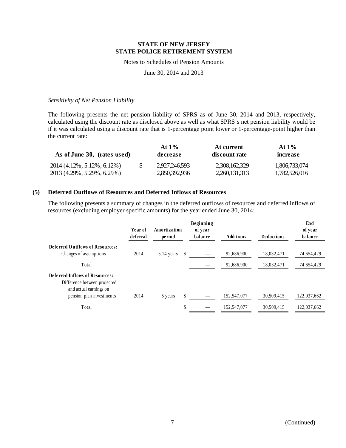Notes to Schedules of Pension Amounts

June 30, 2014 and 2013

### *Sensitivity of Net Pension Liability*

The following presents the net pension liability of SPRS as of June 30, 2014 and 2013, respectively, calculated using the discount rate as disclosed above as well as what SPRS's net pension liability would be if it was calculated using a discount rate that is 1-percentage point lower or 1-percentage-point higher than the current rate:

| As of June 30, (rates used) | At $1\%$<br>decrease | At current<br>discount rate | At $1\%$<br>increase |
|-----------------------------|----------------------|-----------------------------|----------------------|
| 2014 (4.12%, 5.12%, 6.12%)  | 2,927,246,593        | 2,308,162,329               | 1,806,733,074        |
| 2013 (4.29%, 5.29%, 6.29%)  | 2,850,392,936        | 2,260,131,313               | 1,782,526,016        |

#### **(5) Deferred Outflows of Resources and Deferred Inflows of Resources**

The following presents a summary of changes in the deferred outflows of resources and deferred inflows of resources (excluding employer specific amounts) for the year ended June 30, 2014:

|                                                                                                                             | Year of<br>deferral | Amortization<br>period | <b>Beginning</b><br>of year<br>balance | <b>Additions</b> | <b>Deductions</b> | End<br>of year<br>balance |
|-----------------------------------------------------------------------------------------------------------------------------|---------------------|------------------------|----------------------------------------|------------------|-------------------|---------------------------|
| <b>Deferred Outflows of Resources:</b><br>Changes of assumptions                                                            | 2014                | $5.14$ years           | S                                      | 92,686,900       | 18,032,471        | 74,654,429                |
| Total                                                                                                                       |                     |                        |                                        | 92,686,900       | 18,032,471        | 74,654,429                |
| <b>Deferred Inflows of Resources:</b><br>Difference between projected<br>and actual earnings on<br>pension plan investments | 2014                | 5 years                | \$                                     | 152,547,077      | 30,509,415        | 122,037,662               |
| Total                                                                                                                       |                     |                        | S                                      | 152,547,077      | 30,509,415        | 122,037,662               |